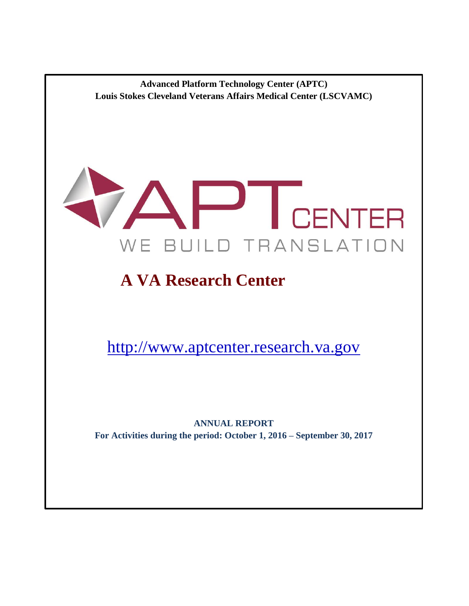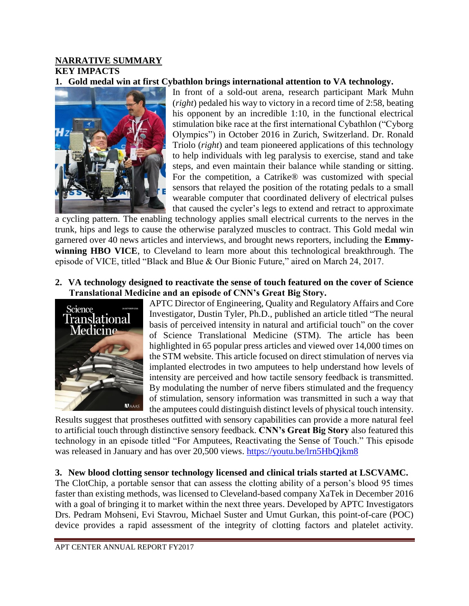# **NARRATIVE SUMMARY KEY IMPACTS**

## **1. Gold medal win at first Cybathlon brings international attention to VA technology.**



In front of a sold-out arena, research participant Mark Muhn (*right*) pedaled his way to victory in a record time of 2:58, beating his opponent by an incredible 1:10, in the functional electrical stimulation bike race at the first international Cybathlon ("Cyborg Olympics") in October 2016 in Zurich, Switzerland. Dr. Ronald Triolo (*right*) and team pioneered applications of this technology to help individuals with leg paralysis to exercise, stand and take steps, and even maintain their balance while standing or sitting. For the competition, a Catrike® was customized with special sensors that relayed the position of the rotating pedals to a small wearable computer that coordinated delivery of electrical pulses that caused the cycler's legs to extend and retract to approximate

a cycling pattern. The enabling technology applies small electrical currents to the nerves in the trunk, hips and legs to cause the otherwise paralyzed muscles to contract. This Gold medal win garnered over 40 news articles and interviews, and brought news reporters, including the **Emmywinning HBO VICE**, to Cleveland to learn more about this technological breakthrough. The episode of VICE, titled "Black and Blue & Our Bionic Future," aired on March 24, 2017.

**2. VA technology designed to reactivate the sense of touch featured on the cover of Science Translational Medicine and an episode of CNN's Great Big Story.**



APTC Director of Engineering, Quality and Regulatory Affairs and Core Investigator, Dustin Tyler, Ph.D., published an article titled "The neural basis of perceived intensity in natural and artificial touch" on the cover of Science Translational Medicine (STM). The article has been highlighted in 65 popular press articles and viewed over 14,000 times on the STM website. This article focused on direct stimulation of nerves via implanted electrodes in two amputees to help understand how levels of intensity are perceived and how tactile sensory feedback is transmitted. By modulating the number of nerve fibers stimulated and the frequency of stimulation, sensory information was transmitted in such a way that the amputees could distinguish distinct levels of physical touch intensity.

Results suggest that prostheses outfitted with sensory capabilities can provide a more natural feel to artificial touch through distinctive sensory feedback. **CNN's Great Big Story** also featured this technology in an episode titled "For Amputees, Reactivating the Sense of Touch." This episode was released in January and has over 20,500 views.<https://youtu.be/lrn5HbQjkm8>

## **3. New blood clotting sensor technology licensed and clinical trials started at LSCVAMC.**

The ClotChip, a portable sensor that can assess the clotting ability of a person's blood 95 times faster than existing methods, was licensed to Cleveland-based company XaTek in December 2016 with a goal of bringing it to market within the next three years. Developed by APTC Investigators Drs. Pedram Mohseni, Evi Stavrou, Michael Suster and Umut Gurkan, this point-of-care (POC) device provides a rapid assessment of the integrity of clotting factors and platelet activity.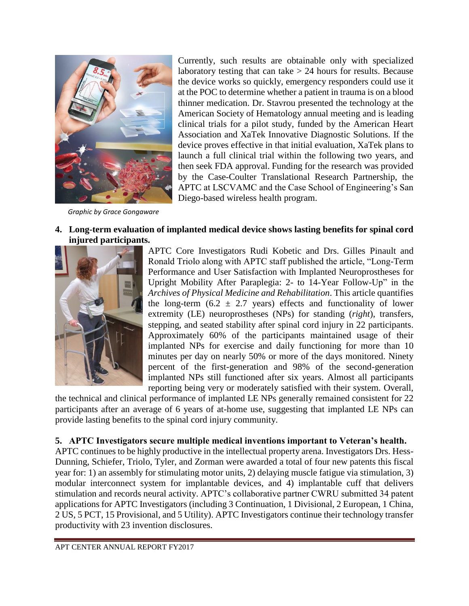

*Graphic by Grace Gongaware*

Currently, such results are obtainable only with specialized laboratory testing that can take  $> 24$  hours for results. Because the device works so quickly, emergency responders could use it at the POC to determine whether a patient in trauma is on a blood thinner medication. Dr. Stavrou presented the technology at the American Society of Hematology annual meeting and is leading clinical trials for a pilot study, funded by the American Heart Association and XaTek Innovative Diagnostic Solutions. If the device proves effective in that initial evaluation, XaTek plans to launch a full clinical trial within the following two years, and then seek FDA approval. Funding for the research was provided by the Case-Coulter Translational Research Partnership, the APTC at LSCVAMC and the Case School of Engineering's San Diego-based wireless health program.

#### **4. Long-term evaluation of implanted medical device shows lasting benefits for spinal cord injured participants.**



APTC Core Investigators Rudi Kobetic and Drs. Gilles Pinault and Ronald Triolo along with APTC staff published the article, "Long-Term Performance and User Satisfaction with Implanted Neuroprostheses for Upright Mobility After Paraplegia: 2- to 14-Year Follow-Up" in the *Archives of Physical Medicine and Rehabilitation*. This article quantifies the long-term (6.2  $\pm$  2.7 years) effects and functionality of lower extremity (LE) neuroprostheses (NPs) for standing (*right*), transfers, stepping, and seated stability after spinal cord injury in 22 participants. Approximately 60% of the participants maintained usage of their implanted NPs for exercise and daily functioning for more than 10 minutes per day on nearly 50% or more of the days monitored. Ninety percent of the first-generation and 98% of the second-generation implanted NPs still functioned after six years. Almost all participants reporting being very or moderately satisfied with their system. Overall,

the technical and clinical performance of implanted LE NPs generally remained consistent for 22 participants after an average of 6 years of at-home use, suggesting that implanted LE NPs can provide lasting benefits to the spinal cord injury community.

# **5. APTC Investigators secure multiple medical inventions important to Veteran's health.**

APTC continues to be highly productive in the intellectual property arena. Investigators Drs. Hess-Dunning, Schiefer, Triolo, Tyler, and Zorman were awarded a total of four new patents this fiscal year for: 1) an assembly for stimulating motor units, 2) delaying muscle fatigue via stimulation, 3) modular interconnect system for implantable devices, and 4) implantable cuff that delivers stimulation and records neural activity. APTC's collaborative partner CWRU submitted 34 patent applications for APTC Investigators (including 3 Continuation, 1 Divisional, 2 European, 1 China, 2 US, 5 PCT, 15 Provisional, and 5 Utility). APTC Investigators continue their technology transfer productivity with 23 invention disclosures.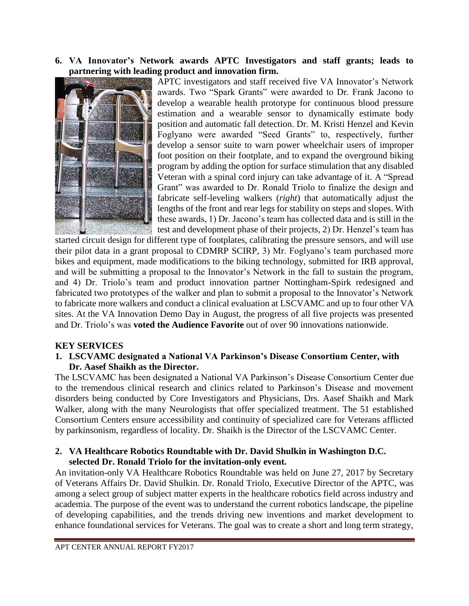## **6. VA Innovator's Network awards APTC Investigators and staff grants; leads to partnering with leading product and innovation firm.**



APTC investigators and staff received five VA Innovator's Network awards. Two "Spark Grants" were awarded to Dr. Frank Jacono to develop a wearable health prototype for continuous blood pressure estimation and a wearable sensor to dynamically estimate body position and automatic fall detection. Dr. M. Kristi Henzel and Kevin Foglyano were awarded "Seed Grants" to, respectively, further develop a sensor suite to warn power wheelchair users of improper foot position on their footplate, and to expand the overground biking program by adding the option for surface stimulation that any disabled Veteran with a spinal cord injury can take advantage of it. A "Spread Grant" was awarded to Dr. Ronald Triolo to finalize the design and fabricate self-leveling walkers (*right*) that automatically adjust the lengths of the front and rear legs for stability on steps and slopes. With these awards, 1) Dr. Jacono's team has collected data and is still in the test and development phase of their projects, 2) Dr. Henzel's team has

started circuit design for different type of footplates, calibrating the pressure sensors, and will use their pilot data in a grant proposal to CDMRP SCIRP, 3) Mr. Foglyano's team purchased more bikes and equipment, made modifications to the biking technology, submitted for IRB approval, and will be submitting a proposal to the Innovator's Network in the fall to sustain the program, and 4) Dr. Triolo's team and product innovation partner Nottingham-Spirk redesigned and fabricated two prototypes of the walker and plan to submit a proposal to the Innovator's Network to fabricate more walkers and conduct a clinical evaluation at LSCVAMC and up to four other VA sites. At the VA Innovation Demo Day in August, the progress of all five projects was presented and Dr. Triolo's was **voted the Audience Favorite** out of over 90 innovations nationwide.

## **KEY SERVICES**

## **1. LSCVAMC designated a National VA Parkinson's Disease Consortium Center, with Dr. Aasef Shaikh as the Director.**

The LSCVAMC has been designated a National VA Parkinson's Disease Consortium Center due to the tremendous clinical research and clinics related to Parkinson's Disease and movement disorders being conducted by Core Investigators and Physicians, Drs. Aasef Shaikh and Mark Walker, along with the many Neurologists that offer specialized treatment. The 51 established Consortium Centers ensure accessibility and continuity of specialized care for Veterans afflicted by parkinsonism, regardless of locality. Dr. Shaikh is the Director of the LSCVAMC Center.

#### **2. VA Healthcare Robotics Roundtable with Dr. David Shulkin in Washington D.C. selected Dr. Ronald Triolo for the invitation-only event.**

An invitation-only VA Healthcare Robotics Roundtable was held on June 27, 2017 by Secretary of Veterans Affairs Dr. David Shulkin. Dr. Ronald Triolo, Executive Director of the APTC, was among a select group of subject matter experts in the healthcare robotics field across industry and academia. The purpose of the event was to understand the current robotics landscape, the pipeline of developing capabilities, and the trends driving new inventions and market development to enhance foundational services for Veterans. The goal was to create a short and long term strategy,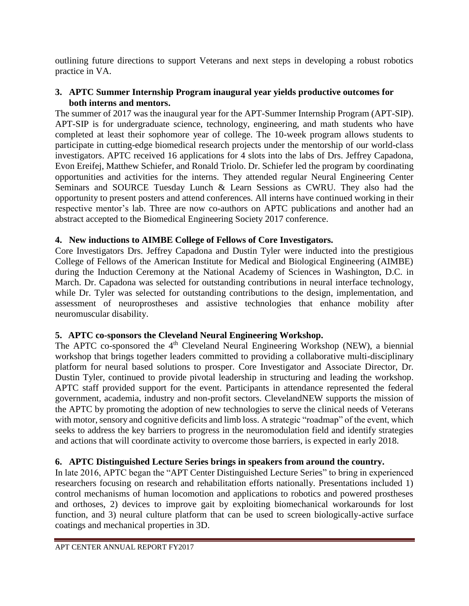outlining future directions to support Veterans and next steps in developing a robust robotics practice in VA.

# **3. APTC Summer Internship Program inaugural year yields productive outcomes for both interns and mentors.**

The summer of 2017 was the inaugural year for the APT-Summer Internship Program (APT-SIP). APT-SIP is for undergraduate science, technology, engineering, and math students who have completed at least their sophomore year of college. The 10-week program allows students to participate in cutting-edge biomedical research projects under the mentorship of our world-class investigators. APTC received 16 applications for 4 slots into the labs of Drs. Jeffrey Capadona, Evon Ereifej, Matthew Schiefer, and Ronald Triolo. Dr. Schiefer led the program by coordinating opportunities and activities for the interns. They attended regular Neural Engineering Center Seminars and SOURCE Tuesday Lunch & Learn Sessions as CWRU. They also had the opportunity to present posters and attend conferences. All interns have continued working in their respective mentor's lab. Three are now co-authors on APTC publications and another had an abstract accepted to the Biomedical Engineering Society 2017 conference.

# **4. New inductions to AIMBE College of Fellows of Core Investigators.**

Core Investigators Drs. Jeffrey Capadona and Dustin Tyler were inducted into the prestigious College of Fellows of the American Institute for Medical and Biological Engineering (AIMBE) during the Induction Ceremony at the National Academy of Sciences in Washington, D.C. in March. Dr. Capadona was selected for outstanding contributions in neural interface technology, while Dr. Tyler was selected for outstanding contributions to the design, implementation, and assessment of neuroprostheses and assistive technologies that enhance mobility after neuromuscular disability.

# **5. APTC co-sponsors the Cleveland Neural Engineering Workshop.**

The APTC co-sponsored the  $4<sup>th</sup>$  Cleveland Neural Engineering Workshop (NEW), a biennial workshop that brings together leaders committed to providing a collaborative multi-disciplinary platform for neural based solutions to prosper. Core Investigator and Associate Director, Dr. Dustin Tyler, continued to provide pivotal leadership in structuring and leading the workshop. APTC staff provided support for the event. Participants in attendance represented the federal government, academia, industry and non-profit sectors. ClevelandNEW supports the mission of the APTC by promoting the adoption of new technologies to serve the clinical needs of Veterans with motor, sensory and cognitive deficits and limb loss. A strategic "roadmap" of the event, which seeks to address the key barriers to progress in the neuromodulation field and identify strategies and actions that will coordinate activity to overcome those barriers, is expected in early 2018.

# **6. APTC Distinguished Lecture Series brings in speakers from around the country.**

In late 2016, APTC began the "APT Center Distinguished Lecture Series" to bring in experienced researchers focusing on research and rehabilitation efforts nationally. Presentations included 1) control mechanisms of human locomotion and applications to robotics and powered prostheses and orthoses, 2) devices to improve gait by exploiting biomechanical workarounds for lost function, and 3) neural culture platform that can be used to screen biologically-active surface coatings and mechanical properties in 3D.